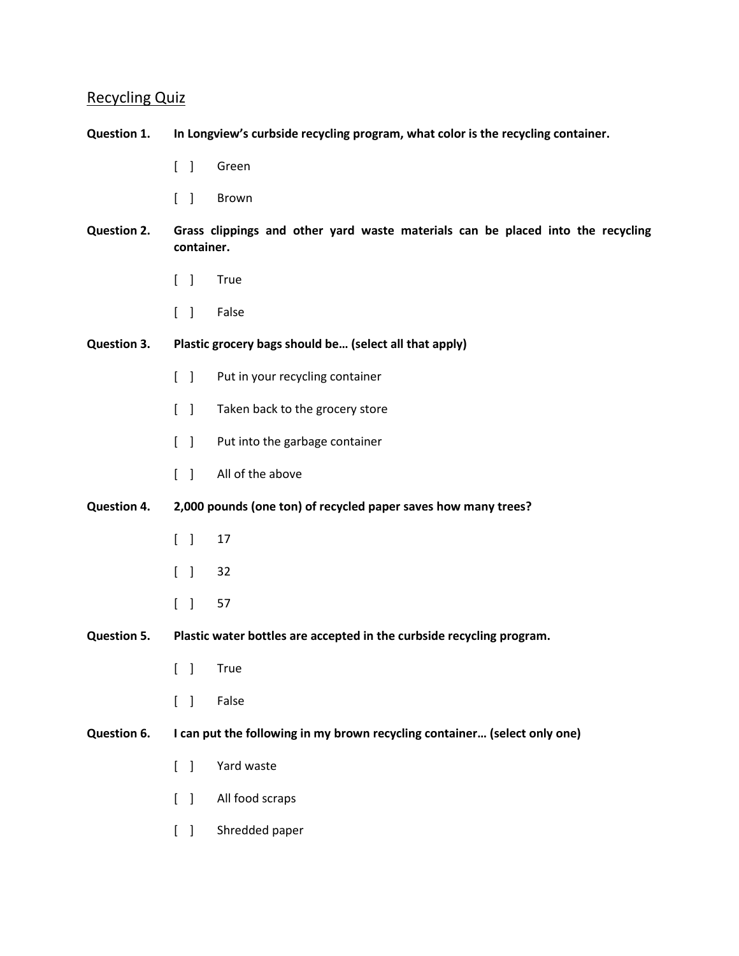# Recycling Quiz

### **Question 1. In Longview's curbside recycling program, what color is the recycling container.**

- [ ] Green
- [ ] Brown
- **Question 2. Grass clippings and other yard waste materials can be placed into the recycling container.**
	- [ ] True
	- [ ] False
- **Question 3. Plastic grocery bags should be… (select all that apply)**
	- [ ] Put in your recycling container
	- [ ] Taken back to the grocery store
	- [ ] Put into the garbage container
	- [ ] All of the above

#### **Question 4. 2,000 pounds (one ton) of recycled paper saves how many trees?**

- [ ] 17
- [ ] 32
- [ ] 57
- **Question 5. Plastic water bottles are accepted in the curbside recycling program.**
	- [ ] True
	- [ ] False

#### **Question 6. I can put the following in my brown recycling container… (select only one)**

- [ ] Yard waste
- [ ] All food scraps
- [ ] Shredded paper